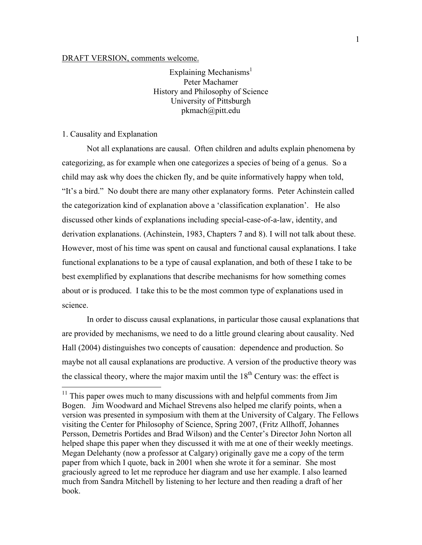DRAFT VERSION, comments welcome.

Explaining Mechanisms<sup>1</sup> Peter Machamer History and Philosophy of Science University of Pittsburgh pkmach@pitt.edu

## 1. Causality and Explanation

Not all explanations are causal. Often children and adults explain phenomena by categorizing, as for example when one categorizes a species of being of a genus. So a child may ask why does the chicken fly, and be quite informatively happy when told, "It's a bird." No doubt there are many other explanatory forms. Peter Achinstein called the categorization kind of explanation above a 'classification explanation'. He also discussed other kinds of explanations including special-case-of-a-law, identity, and derivation explanations. (Achinstein, 1983, Chapters 7 and 8). I will not talk about these. However, most of his time was spent on causal and functional causal explanations. I take functional explanations to be a type of causal explanation, and both of these I take to be best exemplified by explanations that describe mechanisms for how something comes about or is produced. I take this to be the most common type of explanations used in science.

In order to discuss causal explanations, in particular those causal explanations that are provided by mechanisms, we need to do a little ground clearing about causality. Ned Hall (2004) distinguishes two concepts of causation: dependence and production. So maybe not all causal explanations are productive. A version of the productive theory was the classical theory, where the major maxim until the  $18<sup>th</sup>$  Century was: the effect is

<sup>&</sup>lt;sup>11</sup> This paper owes much to many discussions with and helpful comments from Jim Bogen. Jim Woodward and Michael Strevens also helped me clarify points, when a version was presented in symposium with them at the University of Calgary. The Fellows visiting the Center for Philosophy of Science, Spring 2007, (Fritz Allhoff, Johannes Persson, Demetris Portides and Brad Wilson) and the Center's Director John Norton all helped shape this paper when they discussed it with me at one of their weekly meetings. Megan Delehanty (now a professor at Calgary) originally gave me a copy of the term paper from which I quote, back in 2001 when she wrote it for a seminar. She most graciously agreed to let me reproduce her diagram and use her example. I also learned much from Sandra Mitchell by listening to her lecture and then reading a draft of her book.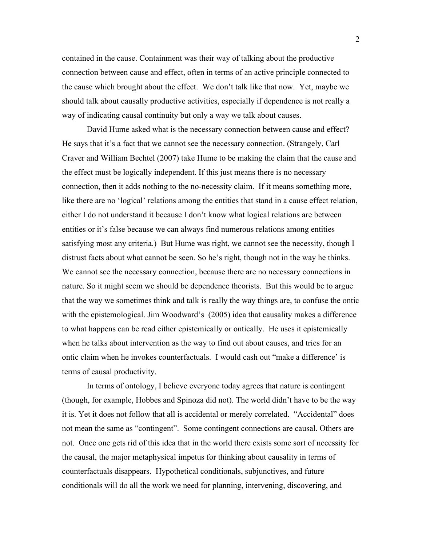contained in the cause. Containment was their way of talking about the productive connection between cause and effect, often in terms of an active principle connected to the cause which brought about the effect. We don't talk like that now. Yet, maybe we should talk about causally productive activities, especially if dependence is not really a way of indicating causal continuity but only a way we talk about causes.

David Hume asked what is the necessary connection between cause and effect? He says that it's a fact that we cannot see the necessary connection. (Strangely, Carl Craver and William Bechtel (2007) take Hume to be making the claim that the cause and the effect must be logically independent. If this just means there is no necessary connection, then it adds nothing to the no-necessity claim. If it means something more, like there are no 'logical' relations among the entities that stand in a cause effect relation, either I do not understand it because I don't know what logical relations are between entities or it's false because we can always find numerous relations among entities satisfying most any criteria.) But Hume was right, we cannot see the necessity, though I distrust facts about what cannot be seen. So he's right, though not in the way he thinks. We cannot see the necessary connection, because there are no necessary connections in nature. So it might seem we should be dependence theorists. But this would be to argue that the way we sometimes think and talk is really the way things are, to confuse the ontic with the epistemological. Jim Woodward's (2005) idea that causality makes a difference to what happens can be read either epistemically or ontically. He uses it epistemically when he talks about intervention as the way to find out about causes, and tries for an ontic claim when he invokes counterfactuals. I would cash out "make a difference' is terms of causal productivity.

In terms of ontology, I believe everyone today agrees that nature is contingent (though, for example, Hobbes and Spinoza did not). The world didn't have to be the way it is. Yet it does not follow that all is accidental or merely correlated. "Accidental" does not mean the same as "contingent". Some contingent connections are causal. Others are not. Once one gets rid of this idea that in the world there exists some sort of necessity for the causal, the major metaphysical impetus for thinking about causality in terms of counterfactuals disappears. Hypothetical conditionals, subjunctives, and future conditionals will do all the work we need for planning, intervening, discovering, and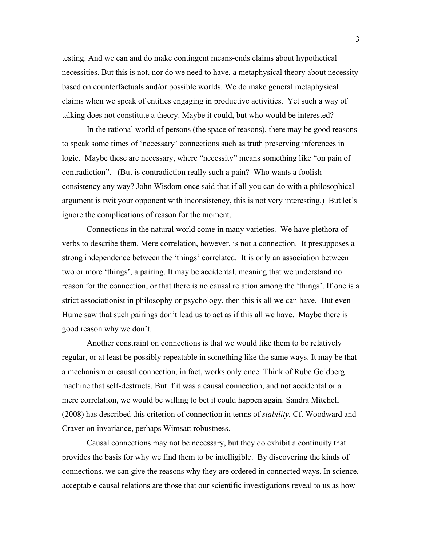testing. And we can and do make contingent means-ends claims about hypothetical necessities. But this is not, nor do we need to have, a metaphysical theory about necessity based on counterfactuals and/or possible worlds. We do make general metaphysical claims when we speak of entities engaging in productive activities. Yet such a way of talking does not constitute a theory. Maybe it could, but who would be interested?

In the rational world of persons (the space of reasons), there may be good reasons to speak some times of 'necessary' connections such as truth preserving inferences in logic. Maybe these are necessary, where "necessity" means something like "on pain of contradiction". (But is contradiction really such a pain? Who wants a foolish consistency any way? John Wisdom once said that if all you can do with a philosophical argument is twit your opponent with inconsistency, this is not very interesting.) But let's ignore the complications of reason for the moment.

Connections in the natural world come in many varieties. We have plethora of verbs to describe them. Mere correlation, however, is not a connection. It presupposes a strong independence between the 'things' correlated. It is only an association between two or more 'things', a pairing. It may be accidental, meaning that we understand no reason for the connection, or that there is no causal relation among the 'things'. If one is a strict associationist in philosophy or psychology, then this is all we can have. But even Hume saw that such pairings don't lead us to act as if this all we have. Maybe there is good reason why we don't.

Another constraint on connections is that we would like them to be relatively regular, or at least be possibly repeatable in something like the same ways. It may be that a mechanism or causal connection, in fact, works only once. Think of Rube Goldberg machine that self-destructs. But if it was a causal connection, and not accidental or a mere correlation, we would be willing to bet it could happen again. Sandra Mitchell (2008) has described this criterion of connection in terms of *stability.* Cf. Woodward and Craver on invariance, perhaps Wimsatt robustness.

Causal connections may not be necessary, but they do exhibit a continuity that provides the basis for why we find them to be intelligible. By discovering the kinds of connections, we can give the reasons why they are ordered in connected ways. In science, acceptable causal relations are those that our scientific investigations reveal to us as how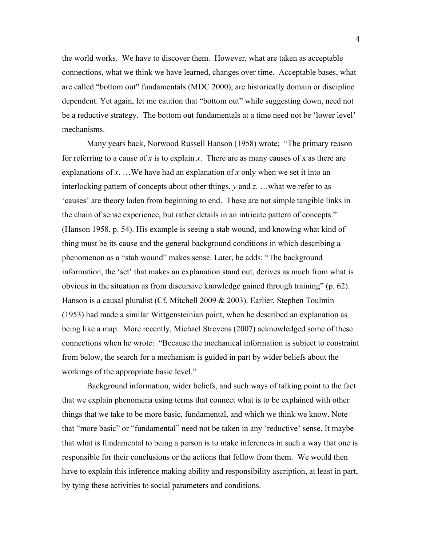the world works. We have to discover them. However, what are taken as acceptable connections, what we think we have learned, changes over time. Acceptable bases, what are called "bottom out" fundamentals (MDC 2000), are historically domain or discipline dependent. Yet again, let me caution that "bottom out" while suggesting down, need not be a reductive strategy. The bottom out fundamentals at a time need not be 'lower level' mechanisms.

Many years back, Norwood Russell Hanson (1958) wrote: "The primary reason for referring to a cause of *x* is to explain *x*. There are as many causes of x as there are explanations of *x*. …We have had an explanation of *x* only when we set it into an interlocking pattern of concepts about other things, *y* and *z*. …what we refer to as 'causes' are theory laden from beginning to end. These are not simple tangible links in the chain of sense experience, but rather details in an intricate pattern of concepts." (Hanson 1958, p. 54). His example is seeing a stab wound, and knowing what kind of thing must be its cause and the general background conditions in which describing a phenomenon as a "stab wound" makes sense. Later, he adds: "The background information, the 'set' that makes an explanation stand out, derives as much from what is obvious in the situation as from discursive knowledge gained through training" (p. 62). Hanson is a causal pluralist (Cf. Mitchell 2009 & 2003). Earlier, Stephen Toulmin (1953) had made a similar Wittgensteinian point, when he described an explanation as being like a map. More recently, Michael Strevens (2007) acknowledged some of these connections when he wrote: "Because the mechanical information is subject to constraint from below, the search for a mechanism is guided in part by wider beliefs about the workings of the appropriate basic level."

Background information, wider beliefs, and such ways of talking point to the fact that we explain phenomena using terms that connect what is to be explained with other things that we take to be more basic, fundamental, and which we think we know. Note that "more basic" or "fundamental" need not be taken in any 'reductive' sense. It maybe that what is fundamental to being a person is to make inferences in such a way that one is responsible for their conclusions or the actions that follow from them. We would then have to explain this inference making ability and responsibility ascription, at least in part, by tying these activities to social parameters and conditions.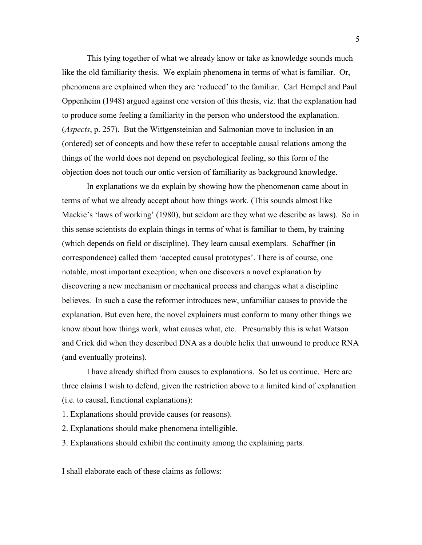This tying together of what we already know or take as knowledge sounds much like the old familiarity thesis. We explain phenomena in terms of what is familiar. Or, phenomena are explained when they are 'reduced' to the familiar. Carl Hempel and Paul Oppenheim (1948) argued against one version of this thesis, viz. that the explanation had to produce some feeling a familiarity in the person who understood the explanation. (*Aspects*, p. 257). But the Wittgensteinian and Salmonian move to inclusion in an (ordered) set of concepts and how these refer to acceptable causal relations among the things of the world does not depend on psychological feeling, so this form of the objection does not touch our ontic version of familiarity as background knowledge.

In explanations we do explain by showing how the phenomenon came about in terms of what we already accept about how things work. (This sounds almost like Mackie's 'laws of working' (1980), but seldom are they what we describe as laws). So in this sense scientists do explain things in terms of what is familiar to them, by training (which depends on field or discipline). They learn causal exemplars. Schaffner (in correspondence) called them 'accepted causal prototypes'. There is of course, one notable, most important exception; when one discovers a novel explanation by discovering a new mechanism or mechanical process and changes what a discipline believes. In such a case the reformer introduces new, unfamiliar causes to provide the explanation. But even here, the novel explainers must conform to many other things we know about how things work, what causes what, etc. Presumably this is what Watson and Crick did when they described DNA as a double helix that unwound to produce RNA (and eventually proteins).

I have already shifted from causes to explanations. So let us continue. Here are three claims I wish to defend, given the restriction above to a limited kind of explanation (i.e. to causal, functional explanations):

- 1. Explanations should provide causes (or reasons).
- 2. Explanations should make phenomena intelligible.
- 3. Explanations should exhibit the continuity among the explaining parts.

I shall elaborate each of these claims as follows: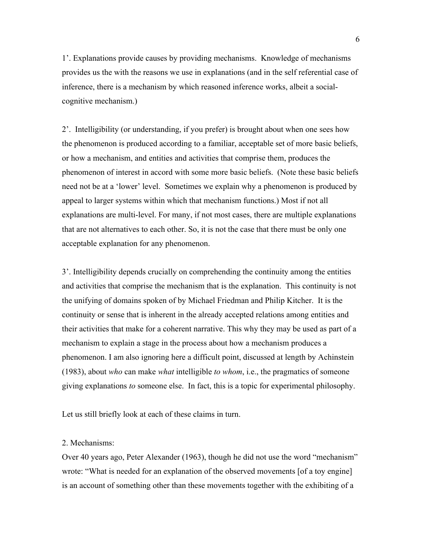1'. Explanations provide causes by providing mechanisms. Knowledge of mechanisms provides us the with the reasons we use in explanations (and in the self referential case of inference, there is a mechanism by which reasoned inference works, albeit a socialcognitive mechanism.)

2'. Intelligibility (or understanding, if you prefer) is brought about when one sees how the phenomenon is produced according to a familiar, acceptable set of more basic beliefs, or how a mechanism, and entities and activities that comprise them, produces the phenomenon of interest in accord with some more basic beliefs. (Note these basic beliefs need not be at a 'lower' level. Sometimes we explain why a phenomenon is produced by appeal to larger systems within which that mechanism functions.) Most if not all explanations are multi-level. For many, if not most cases, there are multiple explanations that are not alternatives to each other. So, it is not the case that there must be only one acceptable explanation for any phenomenon.

3'. Intelligibility depends crucially on comprehending the continuity among the entities and activities that comprise the mechanism that is the explanation. This continuity is not the unifying of domains spoken of by Michael Friedman and Philip Kitcher. It is the continuity or sense that is inherent in the already accepted relations among entities and their activities that make for a coherent narrative. This why they may be used as part of a mechanism to explain a stage in the process about how a mechanism produces a phenomenon. I am also ignoring here a difficult point, discussed at length by Achinstein (1983), about *who* can make *what* intelligible *to whom*, i.e., the pragmatics of someone giving explanations *to* someone else. In fact, this is a topic for experimental philosophy.

Let us still briefly look at each of these claims in turn.

# 2. Mechanisms:

Over 40 years ago, Peter Alexander (1963), though he did not use the word "mechanism" wrote: "What is needed for an explanation of the observed movements [of a toy engine] is an account of something other than these movements together with the exhibiting of a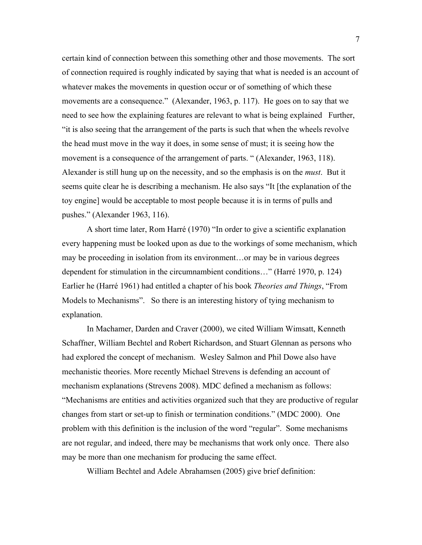certain kind of connection between this something other and those movements. The sort of connection required is roughly indicated by saying that what is needed is an account of whatever makes the movements in question occur or of something of which these movements are a consequence." (Alexander, 1963, p. 117). He goes on to say that we need to see how the explaining features are relevant to what is being explained Further, "it is also seeing that the arrangement of the parts is such that when the wheels revolve the head must move in the way it does, in some sense of must; it is seeing how the movement is a consequence of the arrangement of parts. " (Alexander, 1963, 118). Alexander is still hung up on the necessity, and so the emphasis is on the *must*. But it seems quite clear he is describing a mechanism. He also says "It [the explanation of the toy engine] would be acceptable to most people because it is in terms of pulls and pushes." (Alexander 1963, 116).

A short time later, Rom Harré (1970) "In order to give a scientific explanation every happening must be looked upon as due to the workings of some mechanism, which may be proceeding in isolation from its environment…or may be in various degrees dependent for stimulation in the circumnambient conditions…" (Harré 1970, p. 124) Earlier he (Harré 1961) had entitled a chapter of his book *Theories and Things*, "From Models to Mechanisms". So there is an interesting history of tying mechanism to explanation.

In Machamer, Darden and Craver (2000), we cited William Wimsatt, Kenneth Schaffner, William Bechtel and Robert Richardson, and Stuart Glennan as persons who had explored the concept of mechanism. Wesley Salmon and Phil Dowe also have mechanistic theories. More recently Michael Strevens is defending an account of mechanism explanations (Strevens 2008). MDC defined a mechanism as follows: "Mechanisms are entities and activities organized such that they are productive of regular changes from start or set-up to finish or termination conditions." (MDC 2000). One problem with this definition is the inclusion of the word "regular". Some mechanisms are not regular, and indeed, there may be mechanisms that work only once. There also may be more than one mechanism for producing the same effect.

William Bechtel and Adele Abrahamsen (2005) give brief definition: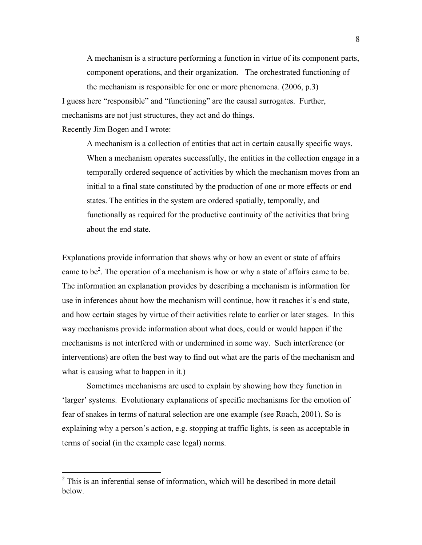A mechanism is a structure performing a function in virtue of its component parts, component operations, and their organization. The orchestrated functioning of the mechanism is responsible for one or more phenomena. (2006, p.3)

I guess here "responsible" and "functioning" are the causal surrogates. Further, mechanisms are not just structures, they act and do things.

Recently Jim Bogen and I wrote:

A mechanism is a collection of entities that act in certain causally specific ways. When a mechanism operates successfully, the entities in the collection engage in a temporally ordered sequence of activities by which the mechanism moves from an initial to a final state constituted by the production of one or more effects or end states. The entities in the system are ordered spatially, temporally, and functionally as required for the productive continuity of the activities that bring about the end state.

Explanations provide information that shows why or how an event or state of affairs came to be<sup>2</sup>. The operation of a mechanism is how or why a state of affairs came to be. The information an explanation provides by describing a mechanism is information for use in inferences about how the mechanism will continue, how it reaches it's end state, and how certain stages by virtue of their activities relate to earlier or later stages. In this way mechanisms provide information about what does, could or would happen if the mechanisms is not interfered with or undermined in some way. Such interference (or interventions) are often the best way to find out what are the parts of the mechanism and what is causing what to happen in it.)

Sometimes mechanisms are used to explain by showing how they function in 'larger' systems. Evolutionary explanations of specific mechanisms for the emotion of fear of snakes in terms of natural selection are one example (see Roach, 2001). So is explaining why a person's action, e.g. stopping at traffic lights, is seen as acceptable in terms of social (in the example case legal) norms.

<sup>&</sup>lt;sup>2</sup> This is an inferential sense of information, which will be described in more detail below.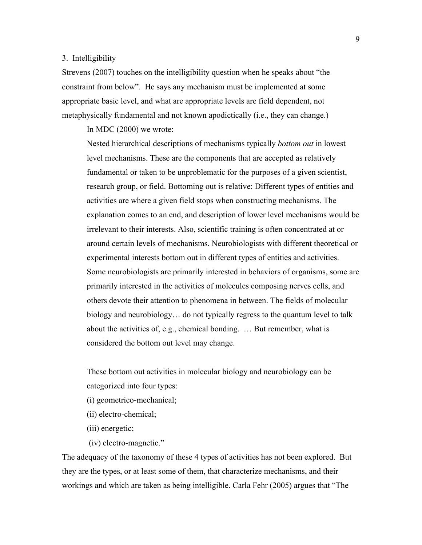### 3. Intelligibility

Strevens (2007) touches on the intelligibility question when he speaks about "the constraint from below". He says any mechanism must be implemented at some appropriate basic level, and what are appropriate levels are field dependent, not metaphysically fundamental and not known apodictically (i.e., they can change.)

In MDC (2000) we wrote:

Nested hierarchical descriptions of mechanisms typically *bottom out* in lowest level mechanisms. These are the components that are accepted as relatively fundamental or taken to be unproblematic for the purposes of a given scientist, research group, or field. Bottoming out is relative: Different types of entities and activities are where a given field stops when constructing mechanisms. The explanation comes to an end, and description of lower level mechanisms would be irrelevant to their interests. Also, scientific training is often concentrated at or around certain levels of mechanisms. Neurobiologists with different theoretical or experimental interests bottom out in different types of entities and activities. Some neurobiologists are primarily interested in behaviors of organisms, some are primarily interested in the activities of molecules composing nerves cells, and others devote their attention to phenomena in between. The fields of molecular biology and neurobiology… do not typically regress to the quantum level to talk about the activities of, e.g., chemical bonding. … But remember, what is considered the bottom out level may change.

These bottom out activities in molecular biology and neurobiology can be categorized into four types:

- (i) geometrico-mechanical;
- (ii) electro-chemical;
- (iii) energetic;
- (iv) electro-magnetic."

The adequacy of the taxonomy of these 4 types of activities has not been explored. But they are the types, or at least some of them, that characterize mechanisms, and their workings and which are taken as being intelligible. Carla Fehr (2005) argues that "The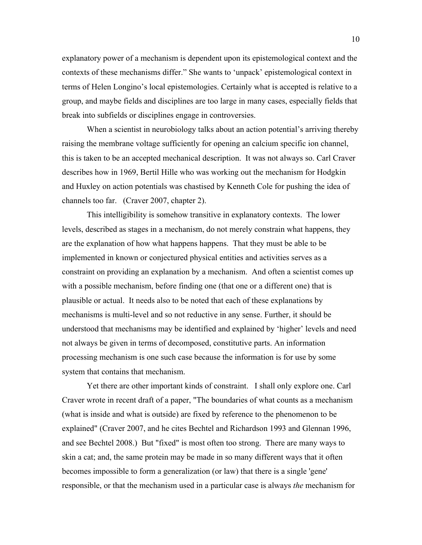explanatory power of a mechanism is dependent upon its epistemological context and the contexts of these mechanisms differ." She wants to 'unpack' epistemological context in terms of Helen Longino's local epistemologies. Certainly what is accepted is relative to a group, and maybe fields and disciplines are too large in many cases, especially fields that break into subfields or disciplines engage in controversies.

When a scientist in neurobiology talks about an action potential's arriving thereby raising the membrane voltage sufficiently for opening an calcium specific ion channel, this is taken to be an accepted mechanical description. It was not always so. Carl Craver describes how in 1969, Bertil Hille who was working out the mechanism for Hodgkin and Huxley on action potentials was chastised by Kenneth Cole for pushing the idea of channels too far. (Craver 2007, chapter 2).

This intelligibility is somehow transitive in explanatory contexts. The lower levels, described as stages in a mechanism, do not merely constrain what happens, they are the explanation of how what happens happens. That they must be able to be implemented in known or conjectured physical entities and activities serves as a constraint on providing an explanation by a mechanism. And often a scientist comes up with a possible mechanism, before finding one (that one or a different one) that is plausible or actual. It needs also to be noted that each of these explanations by mechanisms is multi-level and so not reductive in any sense. Further, it should be understood that mechanisms may be identified and explained by 'higher' levels and need not always be given in terms of decomposed, constitutive parts. An information processing mechanism is one such case because the information is for use by some system that contains that mechanism.

Yet there are other important kinds of constraint. I shall only explore one. Carl Craver wrote in recent draft of a paper, "The boundaries of what counts as a mechanism (what is inside and what is outside) are fixed by reference to the phenomenon to be explained" (Craver 2007, and he cites Bechtel and Richardson 1993 and Glennan 1996, and see Bechtel 2008.) But "fixed" is most often too strong. There are many ways to skin a cat; and, the same protein may be made in so many different ways that it often becomes impossible to form a generalization (or law) that there is a single 'gene' responsible, or that the mechanism used in a particular case is always *the* mechanism for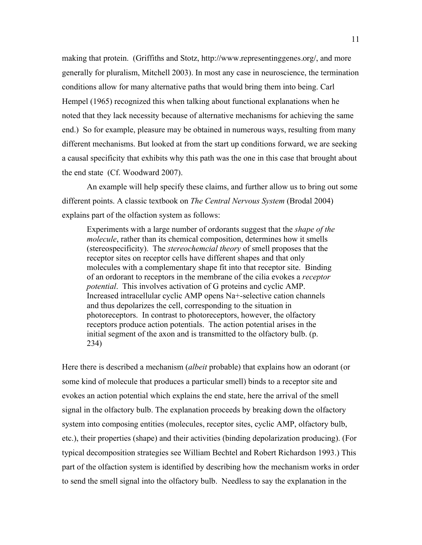making that protein. (Griffiths and Stotz, http://www.representinggenes.org/, and more generally for pluralism, Mitchell 2003). In most any case in neuroscience, the termination conditions allow for many alternative paths that would bring them into being. Carl Hempel (1965) recognized this when talking about functional explanations when he noted that they lack necessity because of alternative mechanisms for achieving the same end.) So for example, pleasure may be obtained in numerous ways, resulting from many different mechanisms. But looked at from the start up conditions forward, we are seeking a causal specificity that exhibits why this path was the one in this case that brought about the end state (Cf. Woodward 2007).

An example will help specify these claims, and further allow us to bring out some different points. A classic textbook on *The Central Nervous System* (Brodal 2004) explains part of the olfaction system as follows:

Experiments with a large number of ordorants suggest that the *shape of the molecule*, rather than its chemical composition, determines how it smells (stereospecificity). The *stereochemcial theory* of smell proposes that the receptor sites on receptor cells have different shapes and that only molecules with a complementary shape fit into that receptor site. Binding of an ordorant to receptors in the membrane of the cilia evokes a *receptor potential*. This involves activation of G proteins and cyclic AMP. Increased intracellular cyclic AMP opens Na+-selective cation channels and thus depolarizes the cell, corresponding to the situation in photoreceptors. In contrast to photoreceptors, however, the olfactory receptors produce action potentials. The action potential arises in the initial segment of the axon and is transmitted to the olfactory bulb. (p. 234)

Here there is described a mechanism (*albeit* probable) that explains how an odorant (or some kind of molecule that produces a particular smell) binds to a receptor site and evokes an action potential which explains the end state, here the arrival of the smell signal in the olfactory bulb. The explanation proceeds by breaking down the olfactory system into composing entities (molecules, receptor sites, cyclic AMP, olfactory bulb, etc.), their properties (shape) and their activities (binding depolarization producing). (For typical decomposition strategies see William Bechtel and Robert Richardson 1993.) This part of the olfaction system is identified by describing how the mechanism works in order to send the smell signal into the olfactory bulb. Needless to say the explanation in the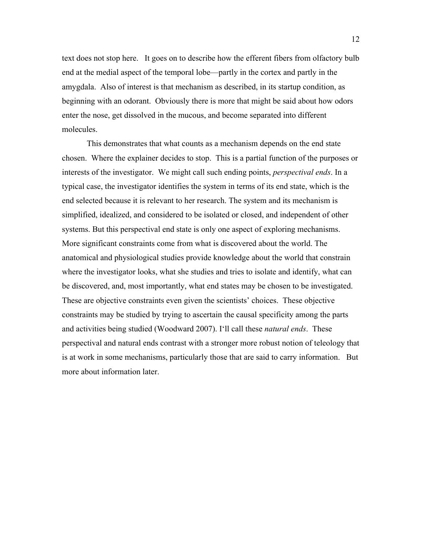text does not stop here. It goes on to describe how the efferent fibers from olfactory bulb end at the medial aspect of the temporal lobe—partly in the cortex and partly in the amygdala. Also of interest is that mechanism as described, in its startup condition, as beginning with an odorant. Obviously there is more that might be said about how odors enter the nose, get dissolved in the mucous, and become separated into different molecules.

This demonstrates that what counts as a mechanism depends on the end state chosen. Where the explainer decides to stop. This is a partial function of the purposes or interests of the investigator. We might call such ending points, *perspectival ends*. In a typical case, the investigator identifies the system in terms of its end state, which is the end selected because it is relevant to her research. The system and its mechanism is simplified, idealized, and considered to be isolated or closed, and independent of other systems. But this perspectival end state is only one aspect of exploring mechanisms. More significant constraints come from what is discovered about the world. The anatomical and physiological studies provide knowledge about the world that constrain where the investigator looks, what she studies and tries to isolate and identify, what can be discovered, and, most importantly, what end states may be chosen to be investigated. These are objective constraints even given the scientists' choices. These objective constraints may be studied by trying to ascertain the causal specificity among the parts and activities being studied (Woodward 2007). I'll call these *natural ends*. These perspectival and natural ends contrast with a stronger more robust notion of teleology that is at work in some mechanisms, particularly those that are said to carry information. But more about information later.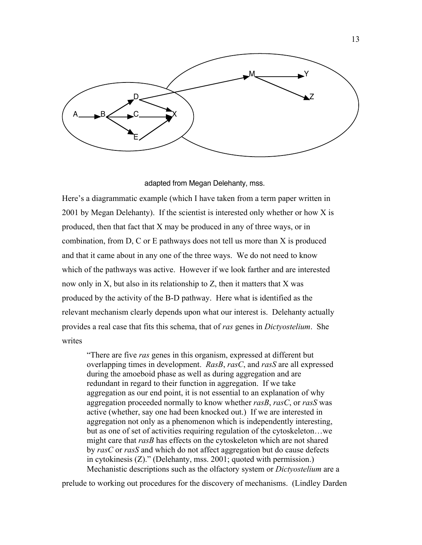

adapted from Megan Delehanty, mss.

Here's a diagrammatic example (which I have taken from a term paper written in 2001 by Megan Delehanty). If the scientist is interested only whether or how X is produced, then that fact that X may be produced in any of three ways, or in combination, from D, C or E pathways does not tell us more than X is produced and that it came about in any one of the three ways. We do not need to know which of the pathways was active. However if we look farther and are interested now only in X, but also in its relationship to Z, then it matters that X was produced by the activity of the B-D pathway. Here what is identified as the relevant mechanism clearly depends upon what our interest is. Delehanty actually provides a real case that fits this schema, that of *ras* genes in *Dictyostelium*. She writes

"There are five *ras* genes in this organism, expressed at different but overlapping times in development. *RasB*, *rasC*, and *rasS* are all expressed during the amoeboid phase as well as during aggregation and are redundant in regard to their function in aggregation. If we take aggregation as our end point, it is not essential to an explanation of why aggregation proceeded normally to know whether *rasB*, *rasC*, or *rasS* was active (whether, say one had been knocked out.) If we are interested in aggregation not only as a phenomenon which is independently interesting, but as one of set of activities requiring regulation of the cytoskeleton…we might care that *rasB* has effects on the cytoskeleton which are not shared by *rasC* or *rasS* and which do not affect aggregation but do cause defects in cytokinesis (Z)." (Delehanty, mss. 2001; quoted with permission.) Mechanistic descriptions such as the olfactory system or *Dictyostelium* are a

prelude to working out procedures for the discovery of mechanisms. (Lindley Darden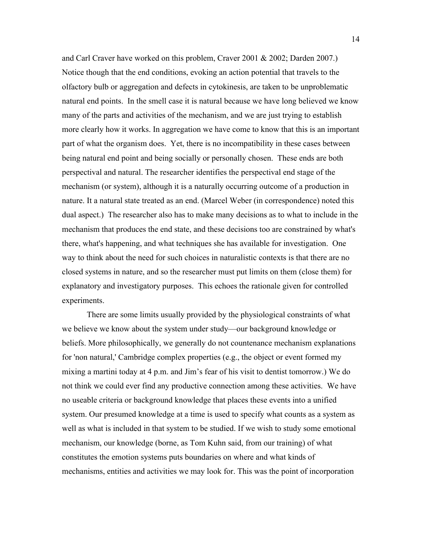and Carl Craver have worked on this problem, Craver 2001 & 2002; Darden 2007.) Notice though that the end conditions, evoking an action potential that travels to the olfactory bulb or aggregation and defects in cytokinesis, are taken to be unproblematic natural end points. In the smell case it is natural because we have long believed we know many of the parts and activities of the mechanism, and we are just trying to establish more clearly how it works. In aggregation we have come to know that this is an important part of what the organism does. Yet, there is no incompatibility in these cases between being natural end point and being socially or personally chosen. These ends are both perspectival and natural. The researcher identifies the perspectival end stage of the mechanism (or system), although it is a naturally occurring outcome of a production in nature. It a natural state treated as an end. (Marcel Weber (in correspondence) noted this dual aspect.) The researcher also has to make many decisions as to what to include in the mechanism that produces the end state, and these decisions too are constrained by what's there, what's happening, and what techniques she has available for investigation. One way to think about the need for such choices in naturalistic contexts is that there are no closed systems in nature, and so the researcher must put limits on them (close them) for explanatory and investigatory purposes. This echoes the rationale given for controlled experiments.

There are some limits usually provided by the physiological constraints of what we believe we know about the system under study—our background knowledge or beliefs. More philosophically, we generally do not countenance mechanism explanations for 'non natural,' Cambridge complex properties (e.g., the object or event formed my mixing a martini today at 4 p.m. and Jim's fear of his visit to dentist tomorrow.) We do not think we could ever find any productive connection among these activities. We have no useable criteria or background knowledge that places these events into a unified system. Our presumed knowledge at a time is used to specify what counts as a system as well as what is included in that system to be studied. If we wish to study some emotional mechanism, our knowledge (borne, as Tom Kuhn said, from our training) of what constitutes the emotion systems puts boundaries on where and what kinds of mechanisms, entities and activities we may look for. This was the point of incorporation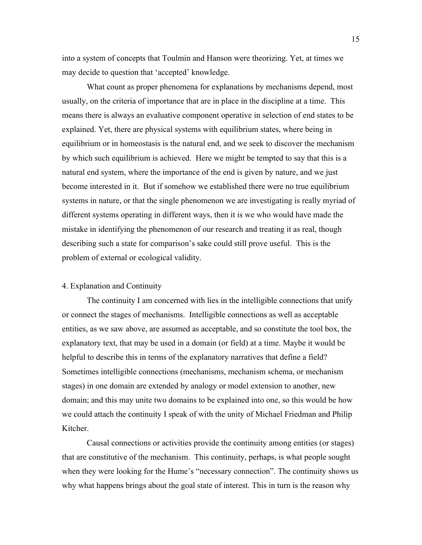into a system of concepts that Toulmin and Hanson were theorizing. Yet, at times we may decide to question that 'accepted' knowledge.

What count as proper phenomena for explanations by mechanisms depend, most usually, on the criteria of importance that are in place in the discipline at a time. This means there is always an evaluative component operative in selection of end states to be explained. Yet, there are physical systems with equilibrium states, where being in equilibrium or in homeostasis is the natural end, and we seek to discover the mechanism by which such equilibrium is achieved. Here we might be tempted to say that this is a natural end system, where the importance of the end is given by nature, and we just become interested in it. But if somehow we established there were no true equilibrium systems in nature, or that the single phenomenon we are investigating is really myriad of different systems operating in different ways, then it is we who would have made the mistake in identifying the phenomenon of our research and treating it as real, though describing such a state for comparison's sake could still prove useful. This is the problem of external or ecological validity.

### 4. Explanation and Continuity

The continuity I am concerned with lies in the intelligible connections that unify or connect the stages of mechanisms. Intelligible connections as well as acceptable entities, as we saw above, are assumed as acceptable, and so constitute the tool box, the explanatory text, that may be used in a domain (or field) at a time. Maybe it would be helpful to describe this in terms of the explanatory narratives that define a field? Sometimes intelligible connections (mechanisms, mechanism schema, or mechanism stages) in one domain are extended by analogy or model extension to another, new domain; and this may unite two domains to be explained into one, so this would be how we could attach the continuity I speak of with the unity of Michael Friedman and Philip Kitcher.

Causal connections or activities provide the continuity among entities (or stages) that are constitutive of the mechanism. This continuity, perhaps, is what people sought when they were looking for the Hume's "necessary connection". The continuity shows us why what happens brings about the goal state of interest. This in turn is the reason why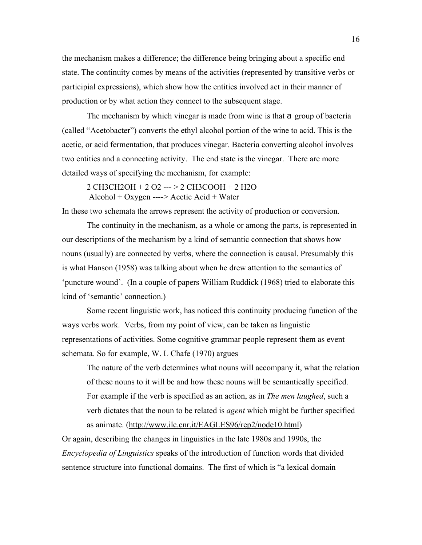the mechanism makes a difference; the difference being bringing about a specific end state. The continuity comes by means of the activities (represented by transitive verbs or participial expressions), which show how the entities involved act in their manner of production or by what action they connect to the subsequent stage.

The mechanism by which vinegar is made from wine is that a group of bacteria (called "Acetobacter") converts the ethyl alcohol portion of the wine to acid. This is the acetic, or acid fermentation, that produces vinegar. Bacteria converting alcohol involves two entities and a connecting activity. The end state is the vinegar. There are more detailed ways of specifying the mechanism, for example:

2 CH3CH2OH + 2 O2 --- > 2 CH3COOH + 2 H2O Alcohol + Oxygen ----> Acetic Acid + Water

In these two schemata the arrows represent the activity of production or conversion.

The continuity in the mechanism, as a whole or among the parts, is represented in our descriptions of the mechanism by a kind of semantic connection that shows how nouns (usually) are connected by verbs, where the connection is causal. Presumably this is what Hanson (1958) was talking about when he drew attention to the semantics of 'puncture wound'. (In a couple of papers William Ruddick (1968) tried to elaborate this kind of 'semantic' connection.)

Some recent linguistic work, has noticed this continuity producing function of the ways verbs work. Verbs, from my point of view, can be taken as linguistic representations of activities. Some cognitive grammar people represent them as event schemata. So for example, W. L Chafe (1970) argues

The nature of the verb determines what nouns will accompany it, what the relation of these nouns to it will be and how these nouns will be semantically specified. For example if the verb is specified as an action, as in *The men laughed*, such a verb dictates that the noun to be related is *agent* which might be further specified as animate. (http://www.ilc.cnr.it/EAGLES96/rep2/node10.html)

Or again, describing the changes in linguistics in the late 1980s and 1990s, the *Encyclopedia of Linguistics* speaks of the introduction of function words that divided sentence structure into functional domains. The first of which is "a lexical domain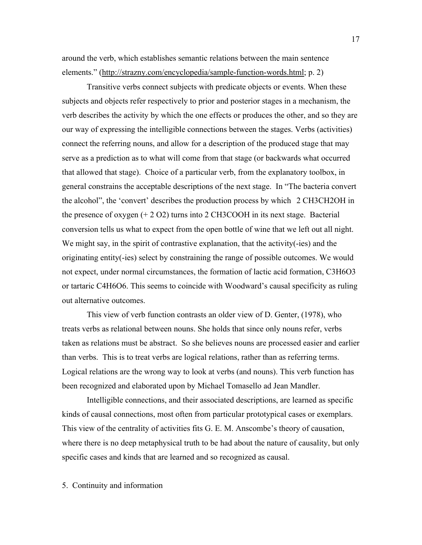around the verb, which establishes semantic relations between the main sentence elements." (http://strazny.com/encyclopedia/sample-function-words.html; p. 2)

Transitive verbs connect subjects with predicate objects or events. When these subjects and objects refer respectively to prior and posterior stages in a mechanism, the verb describes the activity by which the one effects or produces the other, and so they are our way of expressing the intelligible connections between the stages. Verbs (activities) connect the referring nouns, and allow for a description of the produced stage that may serve as a prediction as to what will come from that stage (or backwards what occurred that allowed that stage). Choice of a particular verb, from the explanatory toolbox, in general constrains the acceptable descriptions of the next stage. In "The bacteria convert the alcohol", the 'convert' describes the production process by which 2 CH3CH2OH in the presence of oxygen (+ 2 O2) turns into 2 CH3COOH in its next stage. Bacterial conversion tells us what to expect from the open bottle of wine that we left out all night. We might say, in the spirit of contrastive explanation, that the activity(-ies) and the originating entity(-ies) select by constraining the range of possible outcomes. We would not expect, under normal circumstances, the formation of lactic acid formation, C3H6O3 or tartaric C4H6O6. This seems to coincide with Woodward's causal specificity as ruling out alternative outcomes.

This view of verb function contrasts an older view of D. Genter, (1978), who treats verbs as relational between nouns. She holds that since only nouns refer, verbs taken as relations must be abstract. So she believes nouns are processed easier and earlier than verbs. This is to treat verbs are logical relations, rather than as referring terms. Logical relations are the wrong way to look at verbs (and nouns). This verb function has been recognized and elaborated upon by Michael Tomasello ad Jean Mandler.

Intelligible connections, and their associated descriptions, are learned as specific kinds of causal connections, most often from particular prototypical cases or exemplars. This view of the centrality of activities fits G. E. M. Anscombe's theory of causation, where there is no deep metaphysical truth to be had about the nature of causality, but only specific cases and kinds that are learned and so recognized as causal.

5. Continuity and information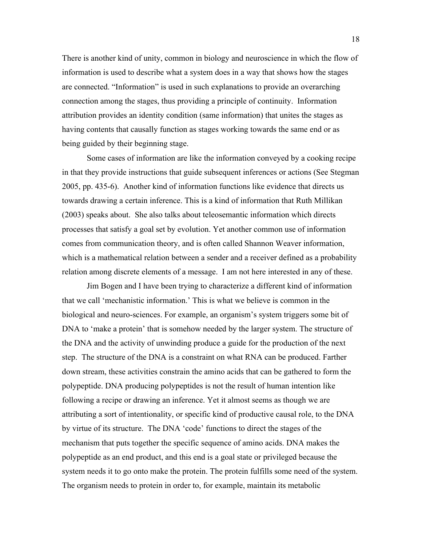There is another kind of unity, common in biology and neuroscience in which the flow of information is used to describe what a system does in a way that shows how the stages are connected. "Information" is used in such explanations to provide an overarching connection among the stages, thus providing a principle of continuity. Information attribution provides an identity condition (same information) that unites the stages as having contents that causally function as stages working towards the same end or as being guided by their beginning stage.

Some cases of information are like the information conveyed by a cooking recipe in that they provide instructions that guide subsequent inferences or actions (See Stegman 2005, pp. 435-6). Another kind of information functions like evidence that directs us towards drawing a certain inference. This is a kind of information that Ruth Millikan (2003) speaks about. She also talks about teleosemantic information which directs processes that satisfy a goal set by evolution. Yet another common use of information comes from communication theory, and is often called Shannon Weaver information, which is a mathematical relation between a sender and a receiver defined as a probability relation among discrete elements of a message. I am not here interested in any of these.

Jim Bogen and I have been trying to characterize a different kind of information that we call 'mechanistic information.' This is what we believe is common in the biological and neuro-sciences. For example, an organism's system triggers some bit of DNA to 'make a protein' that is somehow needed by the larger system. The structure of the DNA and the activity of unwinding produce a guide for the production of the next step. The structure of the DNA is a constraint on what RNA can be produced. Farther down stream, these activities constrain the amino acids that can be gathered to form the polypeptide. DNA producing polypeptides is not the result of human intention like following a recipe or drawing an inference. Yet it almost seems as though we are attributing a sort of intentionality, or specific kind of productive causal role, to the DNA by virtue of its structure. The DNA 'code' functions to direct the stages of the mechanism that puts together the specific sequence of amino acids. DNA makes the polypeptide as an end product, and this end is a goal state or privileged because the system needs it to go onto make the protein. The protein fulfills some need of the system. The organism needs to protein in order to, for example, maintain its metabolic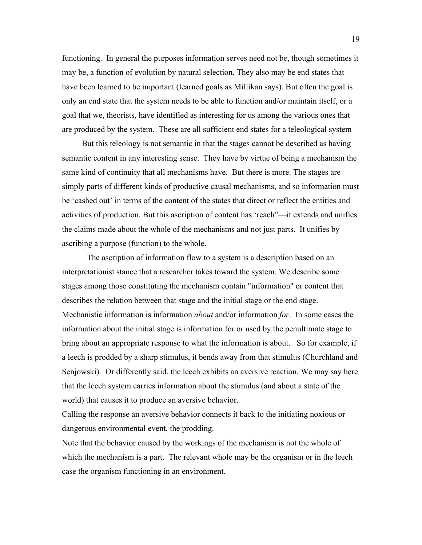functioning. In general the purposes information serves need not be, though sometimes it may be, a function of evolution by natural selection. They also may be end states that have been learned to be important (learned goals as Millikan says). But often the goal is only an end state that the system needs to be able to function and/or maintain itself, or a goal that we, theorists, have identified as interesting for us among the various ones that are produced by the system. These are all sufficient end states for a teleological system

But this teleology is not semantic in that the stages cannot be described as having semantic content in any interesting sense. They have by virtue of being a mechanism the same kind of continuity that all mechanisms have. But there is more. The stages are simply parts of different kinds of productive causal mechanisms, and so information must be 'cashed out' in terms of the content of the states that direct or reflect the entities and activities of production. But this ascription of content has 'reach"—it extends and unifies the claims made about the whole of the mechanisms and not just parts. It unifies by ascribing a purpose (function) to the whole.

The ascription of information flow to a system is a description based on an interpretationist stance that a researcher takes toward the system. We describe some stages among those constituting the mechanism contain "information" or content that describes the relation between that stage and the initial stage or the end stage. Mechanistic information is information *about* and/or information *for*. In some cases the information about the initial stage is information for or used by the penultimate stage to bring about an appropriate response to what the information is about. So for example, if a leech is prodded by a sharp stimulus, it bends away from that stimulus (Churchland and Senjowski). Or differently said, the leech exhibits an aversive reaction. We may say here that the leech system carries information about the stimulus (and about a state of the world) that causes it to produce an aversive behavior.

Calling the response an aversive behavior connects it back to the initiating noxious or dangerous environmental event, the prodding.

Note that the behavior caused by the workings of the mechanism is not the whole of which the mechanism is a part. The relevant whole may be the organism or in the leech case the organism functioning in an environment.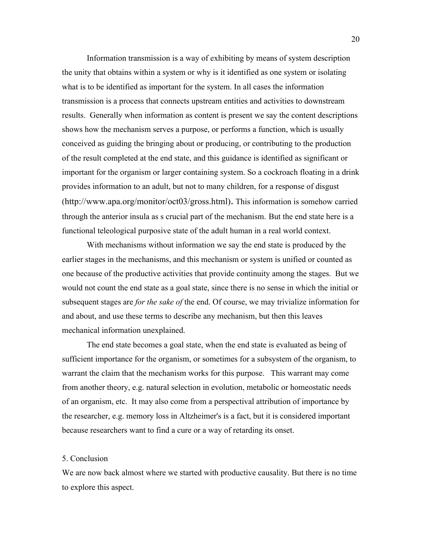Information transmission is a way of exhibiting by means of system description the unity that obtains within a system or why is it identified as one system or isolating what is to be identified as important for the system. In all cases the information transmission is a process that connects upstream entities and activities to downstream results. Generally when information as content is present we say the content descriptions shows how the mechanism serves a purpose, or performs a function, which is usually conceived as guiding the bringing about or producing, or contributing to the production of the result completed at the end state, and this guidance is identified as significant or important for the organism or larger containing system. So a cockroach floating in a drink provides information to an adult, but not to many children, for a response of disgust (http://www.apa.org/monitor/oct03/gross.html). This information is somehow carried through the anterior insula as s crucial part of the mechanism. But the end state here is a functional teleological purposive state of the adult human in a real world context.

With mechanisms without information we say the end state is produced by the earlier stages in the mechanisms, and this mechanism or system is unified or counted as one because of the productive activities that provide continuity among the stages. But we would not count the end state as a goal state, since there is no sense in which the initial or subsequent stages are *for the sake of* the end. Of course, we may trivialize information for and about, and use these terms to describe any mechanism, but then this leaves mechanical information unexplained.

The end state becomes a goal state, when the end state is evaluated as being of sufficient importance for the organism, or sometimes for a subsystem of the organism, to warrant the claim that the mechanism works for this purpose. This warrant may come from another theory, e.g. natural selection in evolution, metabolic or homeostatic needs of an organism, etc. It may also come from a perspectival attribution of importance by the researcher, e.g. memory loss in Altzheimer's is a fact, but it is considered important because researchers want to find a cure or a way of retarding its onset.

#### 5. Conclusion

We are now back almost where we started with productive causality. But there is no time to explore this aspect.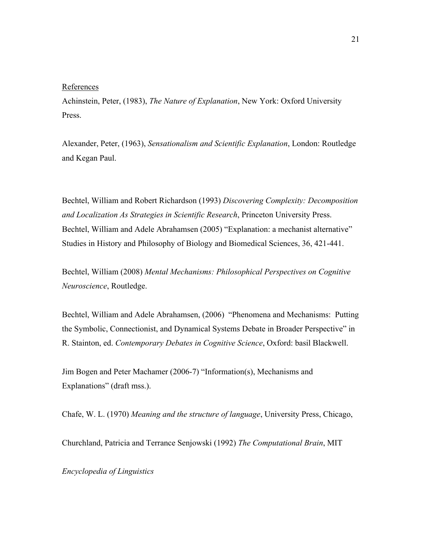#### References

Achinstein, Peter, (1983), *The Nature of Explanation*, New York: Oxford University Press.

Alexander, Peter, (1963), *Sensationalism and Scientific Explanation*, London: Routledge and Kegan Paul.

Bechtel, William and Robert Richardson (1993) *Discovering Complexity: Decomposition and Localization As Strategies in Scientific Research*, Princeton University Press. Bechtel, William and Adele Abrahamsen (2005) "Explanation: a mechanist alternative" Studies in History and Philosophy of Biology and Biomedical Sciences, 36, 421-441.

Bechtel, William (2008) *Mental Mechanisms: Philosophical Perspectives on Cognitive Neuroscience*, Routledge.

Bechtel, William and Adele Abrahamsen, (2006) "Phenomena and Mechanisms: Putting the Symbolic, Connectionist, and Dynamical Systems Debate in Broader Perspective" in R. Stainton, ed. *Contemporary Debates in Cognitive Science*, Oxford: basil Blackwell.

Jim Bogen and Peter Machamer (2006-7) "Information(s), Mechanisms and Explanations" (draft mss.).

Chafe, W. L. (1970) *Meaning and the structure of language*, University Press, Chicago,

Churchland, Patricia and Terrance Senjowski (1992) *The Computational Brain*, MIT

*Encyclopedia of Linguistics*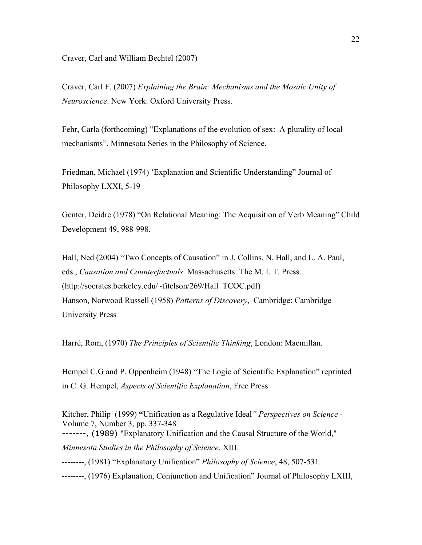Craver, Carl and William Bechtel (2007)

Craver, Carl F. (2007) *Explaining the Brain: Mechanisms and the Mosaic Unity of Neuroscience*. New York: Oxford University Press.

Fehr, Carla (forthcoming) "Explanations of the evolution of sex: A plurality of local mechanisms", Minnesota Series in the Philosophy of Science.

Friedman, Michael (1974) 'Explanation and Scientific Understanding" Journal of Philosophy LXXI, 5-19

Genter, Deidre (1978) "On Relational Meaning: The Acquisition of Verb Meaning" Child Development 49, 988-998.

Hall, Ned (2004) "Two Concepts of Causation" in J. Collins, N. Hall, and L. A. Paul, eds., *Causation and Counterfactuals*. Massachusetts: The M. I. T. Press. (http://socrates.berkeley.edu/~fitelson/269/Hall\_TCOC.pdf) Hanson, Norwood Russell (1958) *Patterns of Discovery*, Cambridge: Cambridge University Press

Harré, Rom, (1970) *The Principles of Scientific Thinking*, London: Macmillan.

Hempel C.G and P. Oppenheim (1948) "The Logic of Scientific Explanation" reprinted in C. G. Hempel, *Aspects of Scientific Explanation*, Free Press.

Kitcher, Philip (1999) **"**Unification as a Regulative Ideal*" Perspectives on Science* - Volume 7, Number 3, pp. 337-348 -------, (1989) "Explanatory Unification and the Causal Structure of the World," *Minnesota Studies in the Philosophy of Science*, XIII. --------, (1981) "Explanatory Unification" *Philosophy of Science*, 48, 507-531. --------, (1976) Explanation, Conjunction and Unification" Journal of Philosophy LXIII,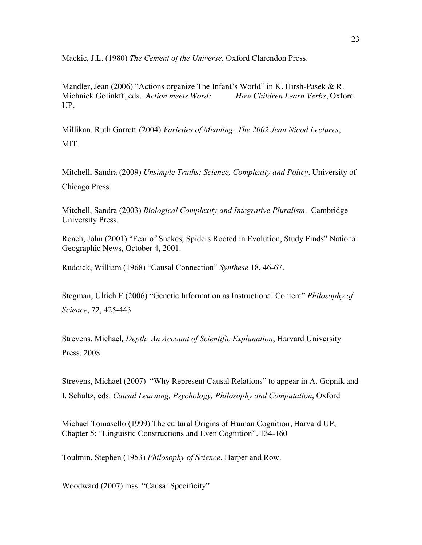Mackie, J.L. (1980) *The Cement of the Universe,* Oxford Clarendon Press.

Mandler, Jean (2006) "Actions organize The Infant's World" in K. Hirsh-Pasek & R. Michnick Golinkff, eds. *Action meets Word: How Children Learn Verbs*, Oxford UP.

Millikan, Ruth Garrett (2004) *Varieties of Meaning: The 2002 Jean Nicod Lectures*, MIT.

Mitchell, Sandra (2009) *Unsimple Truths: Science, Complexity and Policy*. University of Chicago Press.

Mitchell, Sandra (2003) *Biological Complexity and Integrative Pluralism*. Cambridge University Press.

Roach, John (2001) "Fear of Snakes, Spiders Rooted in Evolution, Study Finds" National Geographic News, October 4, 2001.

Ruddick, William (1968) "Causal Connection" *Synthese* 18, 46-67.

Stegman, Ulrich E (2006) "Genetic Information as Instructional Content" *Philosophy of Science*, 72, 425-443

Strevens, Michael*, Depth: An Account of Scientific Explanation*, Harvard University Press, 2008.

Strevens, Michael (2007) "Why Represent Causal Relations" to appear in A. Gopnik and I. Schultz, eds. *Causal Learning, Psychology, Philosophy and Computation*, Oxford

Michael Tomasello (1999) The cultural Origins of Human Cognition, Harvard UP, Chapter 5: "Linguistic Constructions and Even Cognition". 134-160

Toulmin, Stephen (1953) *Philosophy of Science*, Harper and Row.

Woodward (2007) mss. "Causal Specificity"